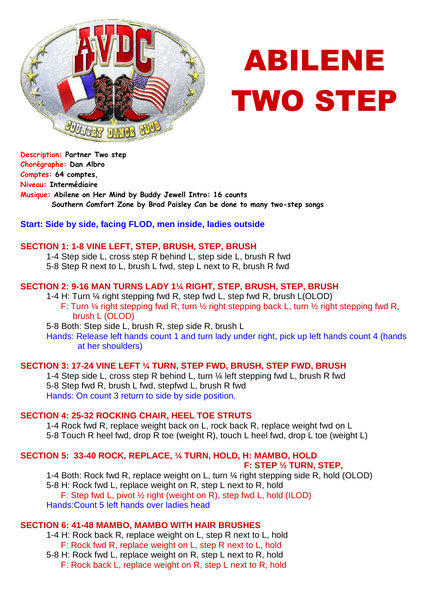

# ABILENE TWO STEP

**Description: Partner Two step Chorégraphe: Dan Albro Comptes: 64 comptes, Niveau: Intermédiaire Musique: Abilene on Her Mind by Buddy Jewell Intro: 16 counts Southern Comfort Zone by Brad Paisley Can be done to many two-step songs** 

## **Start: Side by side, facing FLOD, men inside, ladies outside**

### **SECTION 1: 1-8 VINE LEFT, STEP, BRUSH, STEP, BRUSH**

1-4 Step side L, cross step R behind L, step side L, brush R fwd

5-8 Step R next to L, brush L fwd, step L next to R, brush R fwd

## **SECTION 2: 9-16 MAN TURNS LADY 1¼ RIGHT, STEP, BRUSH, STEP, BRUSH**

1-4 H: Turn ¼ right stepping fwd R, step fwd L, step fwd R, brush L(OLOD) F: Turn ¼ right stepping fwd R, turn ½ right stepping back L, turn ½ right stepping fwd R, brush L (OLOD)

5-8 Both: Step side L, brush R, step side R, brush L

Hands: Release left hands count 1 and turn lady under right, pick up left hands count 4 (hands at her shoulders)

### **SECTION 3: 17-24 VINE LEFT ¼ TURN, STEP FWD, BRUSH, STEP FWD, BRUSH**

1-4 Step side L, cross step R behind L, turn ¼ left stepping fwd L, brush R fwd 5-8 Step fwd R, brush L fwd, stepfwd L, brush R fwd Hands: On count 3 return to side by side position.

## **SECTION 4: 25-32 ROCKING CHAIR, HEEL TOE STRUTS**

1-4 Rock fwd R, replace weight back on L, rock back R, replace weight fwd on L 5-8 Touch R heel fwd, drop R toe (weight R), touch L heel fwd, drop L toe (weight L)

## **SECTION 5: 33-40 ROCK, REPLACE, ¼ TURN, HOLD, H: MAMBO, HOLD**

## **F: STEP ½ TURN, STEP,**

1-4 Both: Rock fwd R, replace weight on L, turn ¼ right stepping side R, hold (OLOD) 5-8 H: Rock fwd L, replace weight on R, step L next to R, hold F: Step fwd L, pivot ½ right (weight on R), step fwd L, hold (ILOD) Hands:Count 5 left hands over ladies head

## **SECTION 6: 41-48 MAMBO, MAMBO WITH HAIR BRUSHES**

1-4 H: Rock back R, replace weight on L, step R next to L, hold F: Rock fwd R, replace weight on L, step R next to L, hold 5-8 H: Rock fwd L, replace weight on R, step L next to R, hold

F: Rock back L, replace weight on R, step L next to R, hold